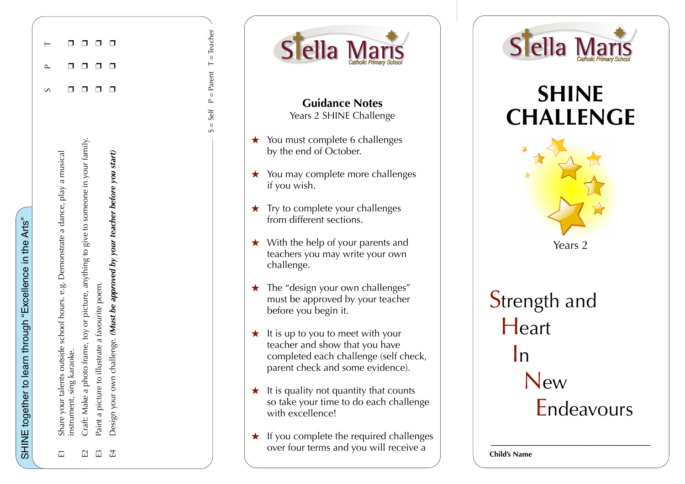| $\overline{L}$ | Share your talents outside school hours. e.g. Demonstrate a dance, play a musical      |   |  |
|----------------|----------------------------------------------------------------------------------------|---|--|
|                | nstrument, sing karaoke.                                                               |   |  |
| E2             | Craft: Make a photo frame, toy or picture, anything to give to someone in your family. | □ |  |
| $E_3$          | to illustrate a favourite poem.<br>Paint a picture t                                   | ◘ |  |
|                | E4 Design your own challenge. (Must be approved by your teacher before you start)      |   |  |
|                |                                                                                        |   |  |





**Guidance Notes**  Years 2 SHINE Challenge

- ★ You must complete 6 challenges by the end of October.
- ★ You may complete more challenges if you wish.
- $\star$  Try to complete your challenges from different sections.
- $\star$  With the help of your parents and teachers you may write your own challenge.
- $\star$  The "design your own challenges" must be approved by your teacher before you begin it.
- $\star$  It is up to you to meet with your teacher and show that you have completed each challenge (self check, parent check and some evidence).
- $\star$  It is quality not quantity that counts so take your time to do each challenge with excellence!
- ★ If you complete the required challenges over four terms and you will receive a



## **SHINE CHALLENGE**



Strength and **Heart**  In New Endeavours

\_\_\_\_\_\_\_\_\_\_\_\_\_\_\_\_\_\_\_\_\_\_\_\_\_\_\_\_

**Child's Name**